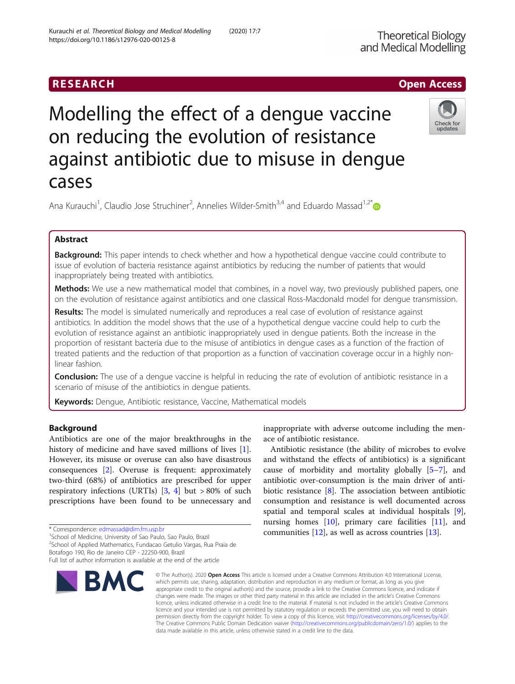# RESEARCH **RESEARCH CHOOSE ACCESS**

# Modelling the effect of a dengue vaccine on reducing the evolution of resistance against antibiotic due to misuse in dengue cases



Ana Kurauchi<sup>1</sup>, Claudio Jose Struchiner<sup>2</sup>, Annelies Wilder-Smith<sup>3,4</sup> and Eduardo Massad<sup>1,2[\\*](https://orcid.org/0000-0002-7200-2916)</sup>

# Abstract

Background: This paper intends to check whether and how a hypothetical dengue vaccine could contribute to issue of evolution of bacteria resistance against antibiotics by reducing the number of patients that would inappropriately being treated with antibiotics.

Methods: We use a new mathematical model that combines, in a novel way, two previously published papers, one on the evolution of resistance against antibiotics and one classical Ross-Macdonald model for dengue transmission.

Results: The model is simulated numerically and reproduces a real case of evolution of resistance against antibiotics. In addition the model shows that the use of a hypothetical dengue vaccine could help to curb the evolution of resistance against an antibiotic inappropriately used in dengue patients. Both the increase in the proportion of resistant bacteria due to the misuse of antibiotics in dengue cases as a function of the fraction of treated patients and the reduction of that proportion as a function of vaccination coverage occur in a highly nonlinear fashion.

Conclusion: The use of a dengue vaccine is helpful in reducing the rate of evolution of antibiotic resistance in a scenario of misuse of the antibiotics in dengue patients.

Keywords: Dengue, Antibiotic resistance, Vaccine, Mathematical models

# Background

Antibiotics are one of the major breakthroughs in the history of medicine and have saved millions of lives [\[1](#page-6-0)]. However, its misuse or overuse can also have disastrous consequences [[2\]](#page-6-0). Overuse is frequent: approximately two-third (68%) of antibiotics are prescribed for upper respiratory infections (URTIs) [[3,](#page-6-0) [4\]](#page-6-0) but > 80% of such prescriptions have been found to be unnecessary and

\* Correspondence: [edmassad@dim.fm.usp.br](mailto:edmassad@dim.fm.usp.br) <sup>1</sup>

<sup>1</sup>School of Medicine, University of Sao Paulo, Sao Paulo, Brazil

<sup>2</sup>School of Applied Mathematics, Fundacao Getulio Vargas, Rua Praia de Botafogo 190, Rio de Janeiro CEP - 22250-900, Brazil

Full list of author information is available at the end of the article



inappropriate with adverse outcome including the menace of antibiotic resistance.

Antibiotic resistance (the ability of microbes to evolve and withstand the effects of antibiotics) is a significant cause of morbidity and mortality globally [[5](#page-6-0)–[7](#page-6-0)], and antibiotic over-consumption is the main driver of antibiotic resistance [[8\]](#page-6-0). The association between antibiotic consumption and resistance is well documented across spatial and temporal scales at individual hospitals [\[9](#page-6-0)], nursing homes  $[10]$  $[10]$  $[10]$ , primary care facilities  $[11]$  $[11]$ , and communities [[12\]](#page-6-0), as well as across countries [[13](#page-6-0)].

© The Author(s), 2020 **Open Access** This article is licensed under a Creative Commons Attribution 4.0 International License, which permits use, sharing, adaptation, distribution and reproduction in any medium or format, as long as you give appropriate credit to the original author(s) and the source, provide a link to the Creative Commons licence, and indicate if changes were made. The images or other third party material in this article are included in the article's Creative Commons licence, unless indicated otherwise in a credit line to the material. If material is not included in the article's Creative Commons licence and your intended use is not permitted by statutory regulation or exceeds the permitted use, you will need to obtain permission directly from the copyright holder. To view a copy of this licence, visit [http://creativecommons.org/licenses/by/4.0/.](http://creativecommons.org/licenses/by/4.0/) The Creative Commons Public Domain Dedication waiver [\(http://creativecommons.org/publicdomain/zero/1.0/](http://creativecommons.org/publicdomain/zero/1.0/)) applies to the data made available in this article, unless otherwise stated in a credit line to the data.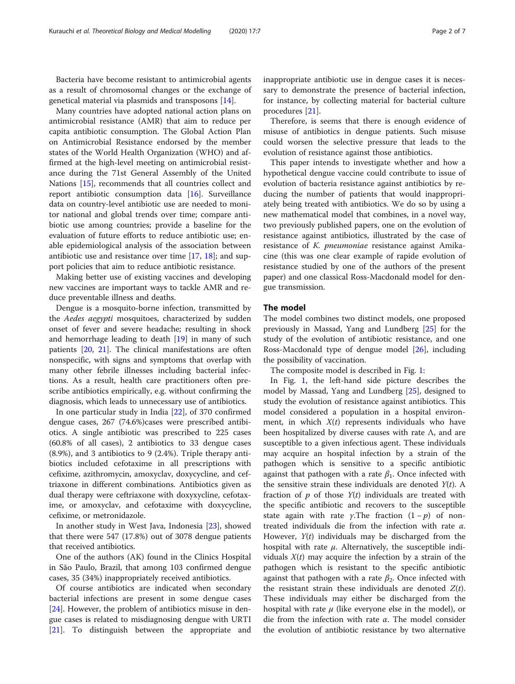Bacteria have become resistant to antimicrobial agents as a result of chromosomal changes or the exchange of genetical material via plasmids and transposons [[14\]](#page-6-0).

Many countries have adopted national action plans on antimicrobial resistance (AMR) that aim to reduce per capita antibiotic consumption. The Global Action Plan on Antimicrobial Resistance endorsed by the member states of the World Health Organization (WHO) and affirmed at the high-level meeting on antimicrobial resistance during the 71st General Assembly of the United Nations [\[15](#page-6-0)], recommends that all countries collect and report antibiotic consumption data [[16\]](#page-6-0). Surveillance data on country-level antibiotic use are needed to monitor national and global trends over time; compare antibiotic use among countries; provide a baseline for the evaluation of future efforts to reduce antibiotic use; enable epidemiological analysis of the association between antibiotic use and resistance over time [\[17](#page-6-0), [18](#page-6-0)]; and support policies that aim to reduce antibiotic resistance.

Making better use of existing vaccines and developing new vaccines are important ways to tackle AMR and reduce preventable illness and deaths.

Dengue is a mosquito-borne infection, transmitted by the Aedes aegypti mosquitoes, characterized by sudden onset of fever and severe headache; resulting in shock and hemorrhage leading to death [\[19](#page-6-0)] in many of such patients [[20,](#page-6-0) [21](#page-6-0)]. The clinical manifestations are often nonspecific, with signs and symptoms that overlap with many other febrile illnesses including bacterial infections. As a result, health care practitioners often prescribe antibiotics empirically, e.g. without confirming the diagnosis, which leads to unnecessary use of antibiotics.

In one particular study in India [\[22\]](#page-6-0), of 370 confirmed dengue cases, 267 (74.6%)cases were prescribed antibiotics. A single antibiotic was prescribed to 225 cases (60.8% of all cases), 2 antibiotics to 33 dengue cases (8.9%), and 3 antibiotics to 9 (2.4%). Triple therapy antibiotics included cefotaxime in all prescriptions with cefixime, azithromycin, amoxyclav, doxycycline, and ceftriaxone in different combinations. Antibiotics given as dual therapy were ceftriaxone with doxyxycline, cefotaxime, or amoxyclav, and cefotaxime with doxycycline, cefixime, or metronidazole.

In another study in West Java, Indonesia [\[23](#page-6-0)], showed that there were 547 (17.8%) out of 3078 dengue patients that received antibiotics.

One of the authors (AK) found in the Clinics Hospital in São Paulo, Brazil, that among 103 confirmed dengue cases, 35 (34%) inappropriately received antibiotics.

Of course antibiotics are indicated when secondary bacterial infections are present in some dengue cases [[24\]](#page-6-0). However, the problem of antibiotics misuse in dengue cases is related to misdiagnosing dengue with URTI [[21\]](#page-6-0). To distinguish between the appropriate and inappropriate antibiotic use in dengue cases it is necessary to demonstrate the presence of bacterial infection, for instance, by collecting material for bacterial culture procedures [\[21\]](#page-6-0).

Therefore, is seems that there is enough evidence of misuse of antibiotics in dengue patients. Such misuse could worsen the selective pressure that leads to the evolution of resistance against those antibiotics.

This paper intends to investigate whether and how a hypothetical dengue vaccine could contribute to issue of evolution of bacteria resistance against antibiotics by reducing the number of patients that would inappropriately being treated with antibiotics. We do so by using a new mathematical model that combines, in a novel way, two previously published papers, one on the evolution of resistance against antibiotics, illustrated by the case of resistance of K. pneumoniae resistance against Amikacine (this was one clear example of rapide evolution of resistance studied by one of the authors of the present paper) and one classical Ross-Macdonald model for dengue transmission.

# The model

The model combines two distinct models, one proposed previously in Massad, Yang and Lundberg [\[25\]](#page-6-0) for the study of the evolution of antibiotic resistance, and one Ross-Macdonald type of dengue model [\[26](#page-6-0)], including the possibility of vaccination.

The composite model is described in Fig. [1](#page-2-0):

In Fig. [1,](#page-2-0) the left-hand side picture describes the model by Massad, Yang and Lundberg [\[25](#page-6-0)], designed to study the evolution of resistance against antibiotics. This model considered a population in a hospital environment, in which  $X(t)$  represents individuals who have been hospitalized by diverse causes with rate  $\Lambda$ , and are susceptible to a given infectious agent. These individuals may acquire an hospital infection by a strain of the pathogen which is sensitive to a specific antibiotic against that pathogen with a rate  $\beta_1$ . Once infected with the sensitive strain these individuals are denoted  $Y(t)$ . A fraction of  $p$  of those  $Y(t)$  individuals are treated with the specific antibiotic and recovers to the susceptible state again with rate *γ*. The fraction  $(1 - p)$  of nontreated individuals die from the infection with rate  $\alpha$ . However,  $Y(t)$  individuals may be discharged from the hospital with rate  $\mu$ . Alternatively, the susceptible individuals  $X(t)$  may acquire the infection by a strain of the pathogen which is resistant to the specific antibiotic against that pathogen with a rate  $\beta_2$ . Once infected with the resistant strain these individuals are denoted  $Z(t)$ . These individuals may either be discharged from the hospital with rate  $\mu$  (like everyone else in the model), or die from the infection with rate  $\alpha$ . The model consider the evolution of antibiotic resistance by two alternative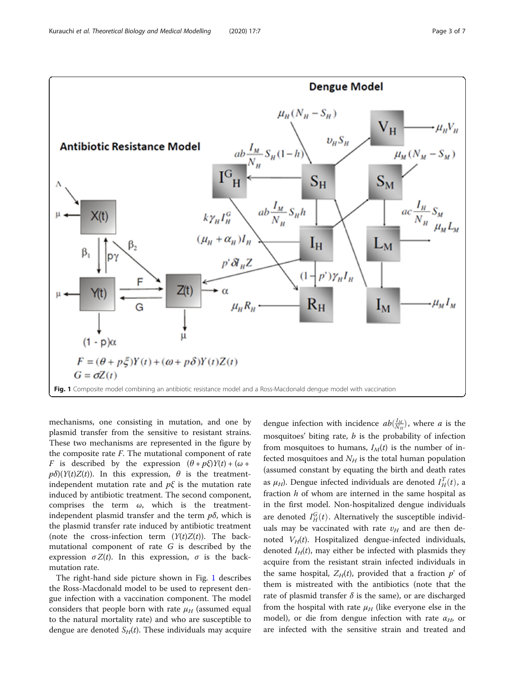<span id="page-2-0"></span>

mechanisms, one consisting in mutation, and one by plasmid transfer from the sensitive to resistant strains. These two mechanisms are represented in the figure by the composite rate  $F$ . The mutational component of rate F is described by the expression  $(\theta + p\xi)Y(t) + (\omega + p\zeta)Y(t)$  $p\delta(Y(t)Z(t))$ . In this expression,  $\theta$  is the treatmentindependent mutation rate and  $p\xi$  is the mutation rate induced by antibiotic treatment. The second component, comprises the term  $\omega$ , which is the treatmentindependent plasmid transfer and the term  $p\delta$ , which is the plasmid transfer rate induced by antibiotic treatment (note the cross-infection term  $(Y(t)Z(t))$ . The backmutational component of rate G is described by the expression  $\sigma Z(t)$ . In this expression,  $\sigma$  is the backmutation rate.

The right-hand side picture shown in Fig. 1 describes the Ross-Macdonald model to be used to represent dengue infection with a vaccination component. The model considers that people born with rate  $\mu_H$  (assumed equal to the natural mortality rate) and who are susceptible to dengue are denoted  $S_H(t)$ . These individuals may acquire

dengue infection with incidence  $ab(\frac{I_M}{N_H})$ , where a is the mosquitoes' biting rate,  $b$  is the probability of infection from mosquitoes to humans,  $I_M(t)$  is the number of infected mosquitoes and  $N_H$  is the total human population (assumed constant by equating the birth and death rates as  $\mu_H$ ). Dengue infected individuals are denoted  $I_H^T(t)$ , a fraction  $h$  of whom are interned in the same hospital as in the first model. Non-hospitalized dengue individuals are denoted  $I_H^G(t)$ . Alternatively the susceptible individuals may be vaccinated with rate  $v_H$  and are then denoted  $V_H(t)$ . Hospitalized dengue-infected individuals, denoted  $I_H(t)$ , may either be infected with plasmids they acquire from the resistant strain infected individuals in the same hospital,  $Z_H(t)$ , provided that a fraction  $p'$  of them is mistreated with the antibiotics (note that the rate of plasmid transfer  $\delta$  is the same), or are discharged from the hospital with rate  $\mu_H$  (like everyone else in the model), or die from dengue infection with rate  $\alpha_H$ , or are infected with the sensitive strain and treated and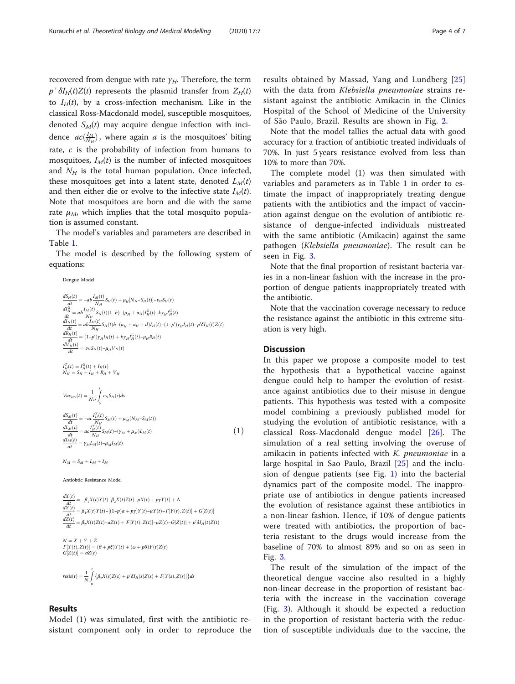recovered from dengue with rate  $\gamma_H$ . Therefore, the term  $p' \delta I_H(t)Z(t)$  represents the plasmid transfer from  $Z_H(t)$ to  $I_H(t)$ , by a cross-infection mechanism. Like in the classical Ross-Macdonald model, susceptible mosquitoes, denoted  $S_M(t)$  may acquire dengue infection with incidence  $ac(\frac{I_M}{N_H})$ , where again  $a$  is the mosquitoes' biting rate, c is the probability of infection from humans to mosquitoes,  $I_M(t)$  is the number of infected mosquitoes and  $N_H$  is the total human population. Once infected, these mosquitoes get into a latent state, denoted  $L_M(t)$ and then either die or evolve to the infective state  $I_M(t)$ . Note that mosquitoes are born and die with the same rate  $\mu_M$ , which implies that the total mosquito population is assumed constant.

The model's variables and parameters are described in Table [1.](#page-4-0)

The model is described by the following system of equations:

Dengue Model

$$
\frac{dS_H(t)}{dt} = -ab \frac{I_M(t)}{N_H} S_H(t) + \mu_H[N_H - S_H(t)] - v_H S_H(t)
$$
\n
$$
\frac{dI_H^H}{dt} = ab \frac{I_M(t)}{N_H} S_H(t)(1-h) - (\mu_H + \alpha_H)I_H^G(t) - k\gamma_H I_H^G(t)
$$
\n
$$
\frac{dI_H(t)}{dt} = ab \frac{I_M(t)}{N_H} S_H(t)h - (\mu_H + \alpha_H + d)I_H(t) - (1-p')\gamma_H I_H(t) - p'\delta I_H(t)Z(t)
$$
\n
$$
\frac{dR_H(t)}{dt} = (1-p')\gamma_H I_H(t) + k\gamma_H I_H^G(t) - \mu_H R_H(t)
$$
\n
$$
\frac{dV_H(t)}{dt} = v_H S_H(t) - \mu_H V_H(t)
$$
\n
$$
N_H = S_H + I_H + R_H + V_H
$$
\n
$$
Vac_{cov}(t) = \frac{1}{N_H} \int_0^t v_H S_H(s) ds
$$
\n
$$
\frac{dS_M(t)}{dt} = -ac \frac{I_H^T(t)}{N_H} S_M(t) + \mu_M (N_M - S_M(t))
$$
\n
$$
\frac{dI_M(t)}{dt} = a_c \frac{I_H^T(t)}{N_H} S_M(t) - (\gamma_M + \mu_M) L_M(t)
$$
\n
$$
\frac{dI_M(t)}{dt} = \gamma_M L_M(t) - \mu_M I_M(t)
$$
\n(1)

 $N_M = S_M + L_M + I_M$ 

Antiobtic Resistance Model

 $\frac{dX(t)}{dt} = -\beta_1 X(t)Y(t) - \beta_2 X(t)Z(t) - \mu X(t) + p\gamma Y(t) + \Lambda$  $\frac{dY(t)}{dt} = \beta_1 X(t)Y(t) - [(1-p)\alpha + py]Y(t) - \mu Y(t) - F[Y(t), Z(t)] + G[Z(t)]$  $\frac{dZ(t)}{dt} = \beta_2 X(t)Z(t) - \alpha Z(t) + F[Y(t), Z(t)] - \mu Z(t) - G[Z(t)] + p'\delta I_H(t)Z(t)$ 

 $N = X + Y + Z$ <br>  $F[Y(t), Z(t)] = (\theta + p\xi)Y(t) + (\omega + p\delta)Y(t)Z(t)$  $G[Z(t)] = \sigma Z(t)$ 

$$
\label{eq:resis} \begin{aligned} &\textit{resis}(t) = \frac{1}{N} \int\limits_0^t \bigl\{ \beta_2 X(s) Z(s) + p' \delta I_H(s) Z(s) + F[Y(s), Z(s)] \bigr\} ds \end{aligned}
$$

# Results

Model (1) was simulated, first with the antibiotic resistant component only in order to reproduce the

results obtained by Massad, Yang and Lundberg [\[25](#page-6-0)] with the data from Klebsiella pneumoniae strains resistant against the antibiotic Amikacin in the Clinics Hospital of the School of Medicine of the University of São Paulo, Brazil. Results are shown in Fig. [2](#page-5-0).

Note that the model tallies the actual data with good accuracy for a fraction of antibiotic treated individuals of 70%. In just 5 years resistance evolved from less than 10% to more than 70%.

The complete model (1) was then simulated with variables and parameters as in Table [1](#page-4-0) in order to estimate the impact of inappropriately treating dengue patients with the antibiotics and the impact of vaccination against dengue on the evolution of antibiotic resistance of dengue-infected individuals mistreated with the same antibiotic (Amikacin) against the same pathogen (Klebsiella pneumoniae). The result can be seen in Fig. [3.](#page-5-0)

Note that the final proportion of resistant bacteria varies in a non-linear fashion with the increase in the proportion of dengue patients inappropriately treated with the antibiotic.

Note that the vaccination coverage necessary to reduce the resistance against the antibiotic in this extreme situation is very high.

# **Discussion**

In this paper we propose a composite model to test the hypothesis that a hypothetical vaccine against dengue could help to hamper the evolution of resistance against antibiotics due to their misuse in dengue patients. This hypothesis was tested with a composite model combining a previously published model for studying the evolution of antibiotic resistance, with a classical Ross-Macdonald dengue model [[26\]](#page-6-0). The simulation of a real setting involving the overuse of amikacin in patients infected with  $K$ . pneumoniae in a large hospital in Sao Paulo, Brazil [\[25\]](#page-6-0) and the inclusion of dengue patients (see Fig. [1](#page-2-0)) into the bacterial dynamics part of the composite model. The inappropriate use of antibiotics in dengue patients increased the evolution of resistance against these antibiotics in a non-linear fashion. Hence, if 10% of dengue patients were treated with antibiotics, the proportion of bacteria resistant to the drugs would increase from the baseline of 70% to almost 89% and so on as seen in Fig. [3.](#page-5-0)

The result of the simulation of the impact of the theoretical dengue vaccine also resulted in a highly non-linear decrease in the proportion of resistant bacteria with the increase in the vaccination coverage (Fig. [3](#page-5-0)). Although it should be expected a reduction in the proportion of resistant bacteria with the reduction of susceptible individuals due to the vaccine, the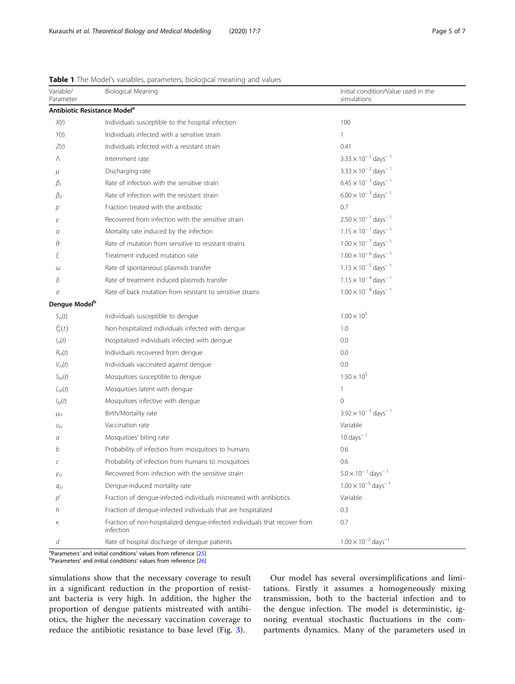| Variable/<br>Parameter    | Biological Meaning                                                                      | Initial condition/Value used in the<br>simulations |
|---------------------------|-----------------------------------------------------------------------------------------|----------------------------------------------------|
|                           | Antibiotic Resistance Model <sup>a</sup>                                                |                                                    |
| X(t)                      | Individuals susceptible to the hospital infection                                       | 100                                                |
| Y(t)                      | Individuals infected with a sensitive strain                                            | $\mathbf{1}$                                       |
| Z(t)                      | Individuals infected with a resistant strain                                            | 0.41                                               |
| Λ                         | Internment rate                                                                         | $3.33 \times 10^{-2}$ days <sup>-1</sup>           |
| μ                         | Discharging rate                                                                        | $3.33 \times 10^{-2}$ days <sup>-1</sup>           |
| $\beta_1$                 | Rate of infection with the sensitive strain                                             | $6.45 \times 10^{-3}$ days <sup>-1</sup>           |
| $\beta_2$                 | Rate of infection with the resistant strain                                             | $6.00 \times 10^{-3}$ days <sup>-1</sup>           |
| р                         | Fraction treated with the antibiotic                                                    | 0.7                                                |
| γ                         | Recovered from infection with the sensitive strain                                      | $2.50 \times 10^{-1}$ days <sup>-1</sup>           |
| α                         | Mortality rate induced by the infection                                                 | $1.15 \times 10^{-1}$ days <sup>-1</sup>           |
| θ                         | Rate of mutation from sensitive to resistant strains                                    | $1.00 \times 10^{-7}$ days <sup>-1</sup>           |
|                           | Treatment induced mutation rate                                                         | $1.00 \times 10^{-6}$ days <sup>-1</sup>           |
| ω                         | Rate of spontaneous plasmids transfer                                                   | $1.15 \times 10^{-5}$ days <sup>-1</sup>           |
| δ                         | Rate of treatment induced plasmids transfer                                             | $1.15 \times 10^{-4}$ days <sup>-1</sup>           |
| σ                         | Rate of back mutation from resistant to sensitive strains                               | $1.00 \times 10^{-8}$ days <sup>-1</sup>           |
| Dengue Model <sup>b</sup> |                                                                                         |                                                    |
| $S_H(t)$                  | Individuals susceptible to dengue                                                       | $1.00 \times 10^{5}$                               |
| $I_H^G(t)$                | Non-hospitalized individuals infected with dengue                                       | 1.0                                                |
| $I_H(t)$                  | Hospitalized individuals infected with dengue                                           | 0.0                                                |
| $R_H(t)$                  | Individuals recovered from dengue                                                       | 0.0                                                |
| $V_H(t)$                  | Individuals vaccinated against dengue                                                   | 0.0                                                |
| $S_M(t)$                  | Mosquitoes susceptible to dengue                                                        | $1.50 \times 10^{5}$                               |
| $L_M(t)$                  | Mosquitoes latent with dengue                                                           | $\mathbf{1}$                                       |
| $I_M(t)$                  | Mosquitoes infective with dengue                                                        | $\Omega$                                           |
| $\mu_H$                   | Birth/Mortality rate                                                                    | $3.92 \times 10^{-5}$ days <sup>-1</sup>           |
| $U_H$                     | Vaccination rate                                                                        | Variable                                           |
| а                         | Mosquitoes' biting rate                                                                 | $10 \, \text{days}^{-1}$                           |
| b                         | Probability of infection from mosquitoes to humans                                      | 0.6                                                |
| С                         | Probability of infection from humans to mosquitoes                                      | 0.6                                                |
| Yн                        | Recovered from infection with the sensitive strain                                      | $5.0 \times 10^{-1}$ days <sup>-1</sup>            |
| $a_H$                     | Dengue-induced mortality rate                                                           | $1.00 \times 10^{-5}$ days <sup>-1</sup>           |
| D'                        | Fraction of dengue-infected individuals mistreated with antibiotics.                    | Variable                                           |
| h                         | Fraction of dengue-infected individuals that are hospitalized                           | 0.3                                                |
| Κ                         | Fraction of non-hospitalized dengue-infected individuals that recover from<br>infection | 0.7                                                |
| d                         | Rate of hospital discharge of dengue patients                                           | $1.00 \times 10^{-2}$ days <sup>-1</sup>           |

<span id="page-4-0"></span>Table 1 The Model's variables, parameters, biological meaning and values

<sup>a</sup> Parameters' and initial conditions' values from reference [\[25](#page-6-0)]<br><sup>b</sup> Parameters' and initial conditions' values from reference [26]

bParameters' and initial conditions' values from reference [[26\]](#page-6-0)

simulations show that the necessary coverage to result in a significant reduction in the proportion of resistant bacteria is very high. In addition, the higher the proportion of dengue patients mistreated with antibiotics, the higher the necessary vaccination coverage to reduce the antibiotic resistance to base level (Fig. [3\)](#page-5-0).

Our model has several oversimplifications and limitations. Firstly it assumes a homogeneously mixing transmission, both to the bacterial infection and to the dengue infection. The model is deterministic, ignoring eventual stochastic fluctuations in the compartments dynamics. Many of the parameters used in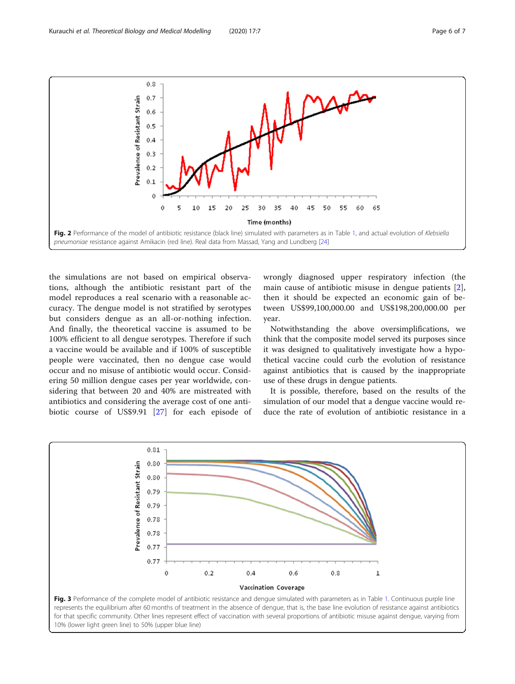<span id="page-5-0"></span>

the simulations are not based on empirical observations, although the antibiotic resistant part of the model reproduces a real scenario with a reasonable accuracy. The dengue model is not stratified by serotypes but considers dengue as an all-or-nothing infection. And finally, the theoretical vaccine is assumed to be 100% efficient to all dengue serotypes. Therefore if such a vaccine would be available and if 100% of susceptible people were vaccinated, then no dengue case would occur and no misuse of antibiotic would occur. Considering 50 million dengue cases per year worldwide, considering that between 20 and 40% are mistreated with antibiotics and considering the average cost of one antibiotic course of US\$9.91 [\[27](#page-6-0)] for each episode of wrongly diagnosed upper respiratory infection (the main cause of antibiotic misuse in dengue patients [\[2](#page-6-0)], then it should be expected an economic gain of between US\$99,100,000.00 and US\$198,200,000.00 per year.

Notwithstanding the above oversimplifications, we think that the composite model served its purposes since it was designed to qualitatively investigate how a hypothetical vaccine could curb the evolution of resistance against antibiotics that is caused by the inappropriate use of these drugs in dengue patients.

It is possible, therefore, based on the results of the simulation of our model that a dengue vaccine would reduce the rate of evolution of antibiotic resistance in a